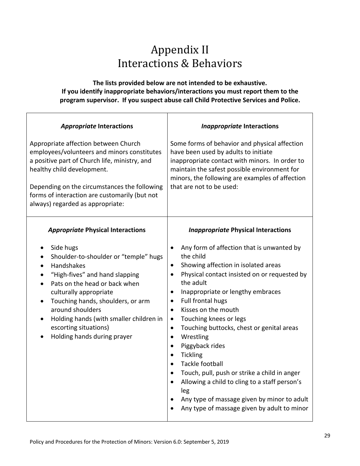## Appendix II Interactions & Behaviors

## **The lists provided below are not intended to be exhaustive. If you identify inappropriate behaviors/interactions you must report them to the program supervisor. If you suspect abuse call Child Protective Services and Police.**

| <b>Appropriate Interactions</b><br>Appropriate affection between Church<br>employees/volunteers and minors constitutes<br>a positive part of Church life, ministry, and<br>healthy child development.<br>Depending on the circumstances the following<br>forms of interaction are customarily (but not<br>always) regarded as appropriate:                            | <b>Inappropriate Interactions</b><br>Some forms of behavior and physical affection<br>have been used by adults to initiate<br>inappropriate contact with minors. In order to<br>maintain the safest possible environment for<br>minors, the following are examples of affection<br>that are not to be used:                                                                                                                                                                                                                                                                                                                                                                                                                                                                   |  |
|-----------------------------------------------------------------------------------------------------------------------------------------------------------------------------------------------------------------------------------------------------------------------------------------------------------------------------------------------------------------------|-------------------------------------------------------------------------------------------------------------------------------------------------------------------------------------------------------------------------------------------------------------------------------------------------------------------------------------------------------------------------------------------------------------------------------------------------------------------------------------------------------------------------------------------------------------------------------------------------------------------------------------------------------------------------------------------------------------------------------------------------------------------------------|--|
| <b>Appropriate Physical Interactions</b><br>Side hugs<br>Shoulder-to-shoulder or "temple" hugs<br>Handshakes<br>"High-fives" and hand slapping<br>Pats on the head or back when<br>culturally appropriate<br>Touching hands, shoulders, or arm<br>around shoulders<br>Holding hands (with smaller children in<br>escorting situations)<br>Holding hands during prayer | <b>Inappropriate Physical Interactions</b><br>Any form of affection that is unwanted by<br>$\bullet$<br>the child<br>Showing affection in isolated areas<br>$\bullet$<br>Physical contact insisted on or requested by<br>$\bullet$<br>the adult<br>Inappropriate or lengthy embraces<br>$\bullet$<br>Full frontal hugs<br>$\bullet$<br>Kisses on the mouth<br>$\bullet$<br>Touching knees or legs<br>$\bullet$<br>Touching buttocks, chest or genital areas<br>$\bullet$<br>Wrestling<br>$\bullet$<br>Piggyback rides<br>$\bullet$<br><b>Tickling</b><br>$\bullet$<br><b>Tackle football</b><br>$\bullet$<br>Touch, pull, push or strike a child in anger<br>Allowing a child to cling to a staff person's<br>$\bullet$<br>leg<br>Any type of massage given by minor to adult |  |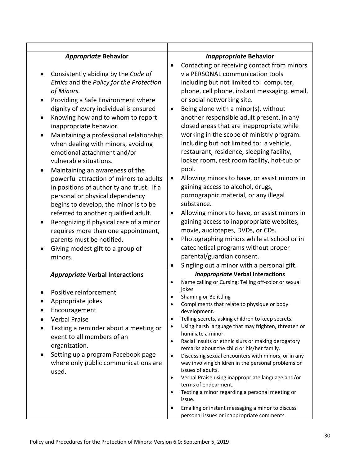| <b>Appropriate Behavior</b><br>Consistently abiding by the Code of<br>٠<br>Ethics and the Policy for the Protection<br>of Minors.<br>Providing a Safe Environment where<br>dignity of every individual is ensured<br>Knowing how and to whom to report<br>inappropriate behavior.<br>Maintaining a professional relationship<br>when dealing with minors, avoiding<br>emotional attachment and/or<br>vulnerable situations.<br>Maintaining an awareness of the<br>powerful attraction of minors to adults<br>in positions of authority and trust. If a<br>personal or physical dependency<br>begins to develop, the minor is to be<br>referred to another qualified adult.<br>Recognizing if physical care of a minor<br>requires more than one appointment,<br>parents must be notified.<br>Giving modest gift to a group of<br>minors. | <b>Inappropriate Behavior</b><br>Contacting or receiving contact from minors<br>via PERSONAL communication tools<br>including but not limited to: computer,<br>phone, cell phone, instant messaging, email,<br>or social networking site.<br>Being alone with a minor(s), without<br>$\bullet$<br>another responsible adult present, in any<br>closed areas that are inappropriate while<br>working in the scope of ministry program.<br>Including but not limited to: a vehicle,<br>restaurant, residence, sleeping facility,<br>locker room, rest room facility, hot-tub or<br>pool.<br>Allowing minors to have, or assist minors in<br>$\bullet$<br>gaining access to alcohol, drugs,<br>pornographic material, or any illegal<br>substance.<br>Allowing minors to have, or assist minors in<br>$\bullet$<br>gaining access to inappropriate websites,<br>movie, audiotapes, DVDs, or CDs.<br>Photographing minors while at school or in<br>$\bullet$<br>catechetical programs without proper<br>parental/guardian consent. |
|------------------------------------------------------------------------------------------------------------------------------------------------------------------------------------------------------------------------------------------------------------------------------------------------------------------------------------------------------------------------------------------------------------------------------------------------------------------------------------------------------------------------------------------------------------------------------------------------------------------------------------------------------------------------------------------------------------------------------------------------------------------------------------------------------------------------------------------|--------------------------------------------------------------------------------------------------------------------------------------------------------------------------------------------------------------------------------------------------------------------------------------------------------------------------------------------------------------------------------------------------------------------------------------------------------------------------------------------------------------------------------------------------------------------------------------------------------------------------------------------------------------------------------------------------------------------------------------------------------------------------------------------------------------------------------------------------------------------------------------------------------------------------------------------------------------------------------------------------------------------------------|
| <b>Appropriate Verbal Interactions</b><br>Positive reinforcement<br>Appropriate jokes<br>Encouragement<br><b>Verbal Praise</b><br>Texting a reminder about a meeting or<br>event to all members of an<br>organization.<br>Setting up a program Facebook page<br>where only public communications are<br>used.                                                                                                                                                                                                                                                                                                                                                                                                                                                                                                                            | Singling out a minor with a personal gift.<br>$\bullet$<br><b>Inappropriate Verbal Interactions</b><br>Name calling or Cursing; Telling off-color or sexual<br>$\bullet$<br>jokes<br>Shaming or Belittling<br>Compliments that relate to physique or body<br>development.<br>Telling secrets, asking children to keep secrets.<br>٠<br>Using harsh language that may frighten, threaten or<br>$\bullet$<br>humiliate a minor.<br>Racial insults or ethnic slurs or making derogatory<br>$\bullet$<br>remarks about the child or his/her family.<br>Discussing sexual encounters with minors, or in any<br>$\bullet$<br>way involving children in the personal problems or<br>issues of adults.<br>Verbal Praise using inappropriate language and/or<br>$\bullet$<br>terms of endearment.<br>Texting a minor regarding a personal meeting or<br>٠<br>issue.<br>Emailing or instant messaging a minor to discuss<br>$\bullet$<br>personal issues or inappropriate comments.                                                      |